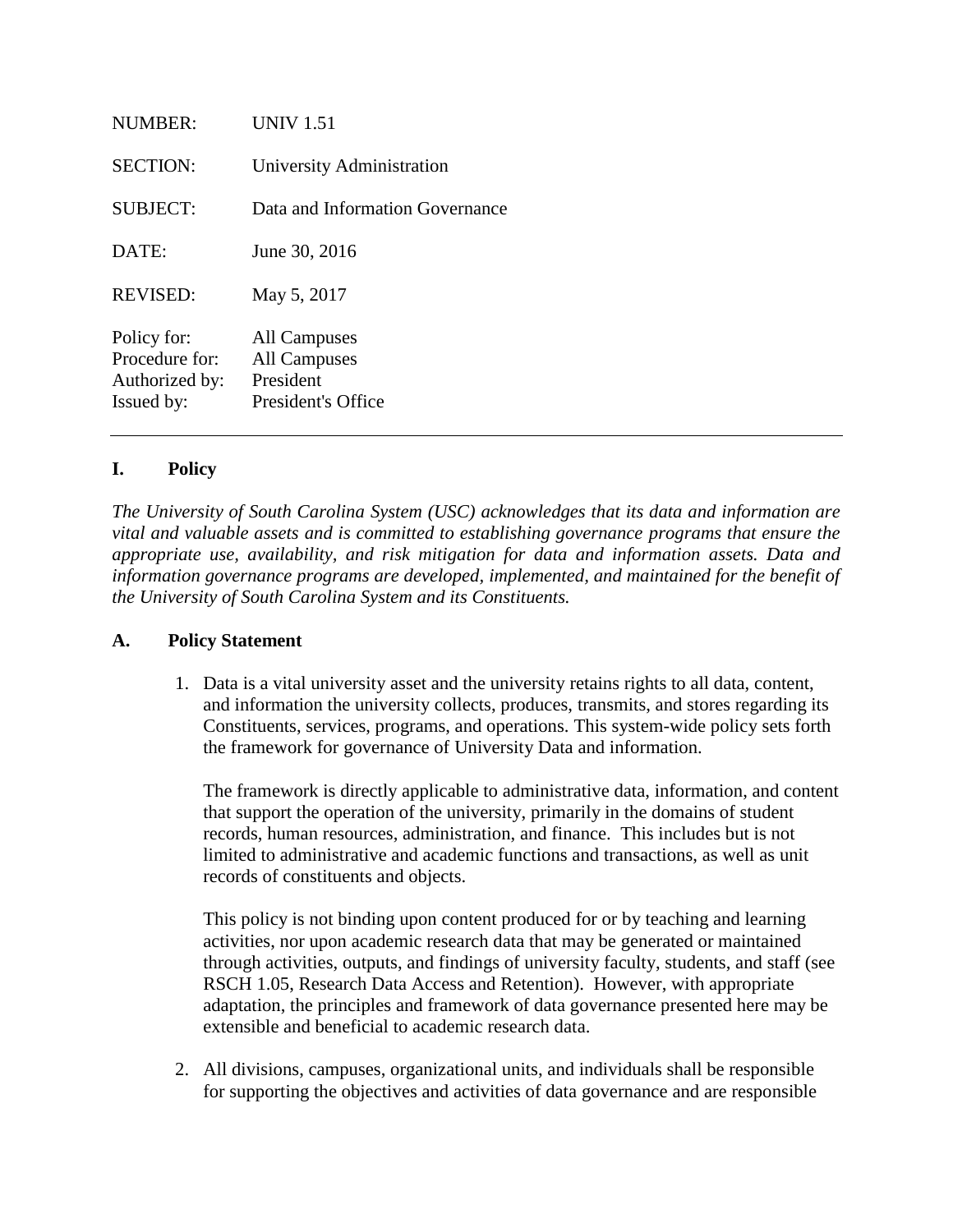| NUMBER:                                                       | <b>UNIV 1.51</b>                                                       |
|---------------------------------------------------------------|------------------------------------------------------------------------|
| <b>SECTION:</b>                                               | University Administration                                              |
| <b>SUBJECT:</b>                                               | Data and Information Governance                                        |
| DATE:                                                         | June 30, 2016                                                          |
| <b>REVISED:</b>                                               | May 5, 2017                                                            |
| Policy for:<br>Procedure for:<br>Authorized by:<br>Issued by: | All Campuses<br><b>All Campuses</b><br>President<br>President's Office |

### **I. Policy**

*The University of South Carolina System (USC) acknowledges that its data and information are vital and valuable assets and is committed to establishing governance programs that ensure the appropriate use, availability, and risk mitigation for data and information assets. Data and information governance programs are developed, implemented, and maintained for the benefit of the University of South Carolina System and its Constituents.* 

### **A. Policy Statement**

1. Data is a vital university asset and the university retains rights to all data, content, and information the university collects, produces, transmits, and stores regarding its Constituents, services, programs, and operations. This system-wide policy sets forth the framework for governance of University Data and information.

The framework is directly applicable to administrative data, information, and content that support the operation of the university, primarily in the domains of student records, human resources, administration, and finance. This includes but is not limited to administrative and academic functions and transactions, as well as unit records of constituents and objects.

This policy is not binding upon content produced for or by teaching and learning activities, nor upon academic research data that may be generated or maintained through activities, outputs, and findings of university faculty, students, and staff (see RSCH 1.05, Research Data Access and Retention). However, with appropriate adaptation, the principles and framework of data governance presented here may be extensible and beneficial to academic research data.

2. All divisions, campuses, organizational units, and individuals shall be responsible for supporting the objectives and activities of data governance and are responsible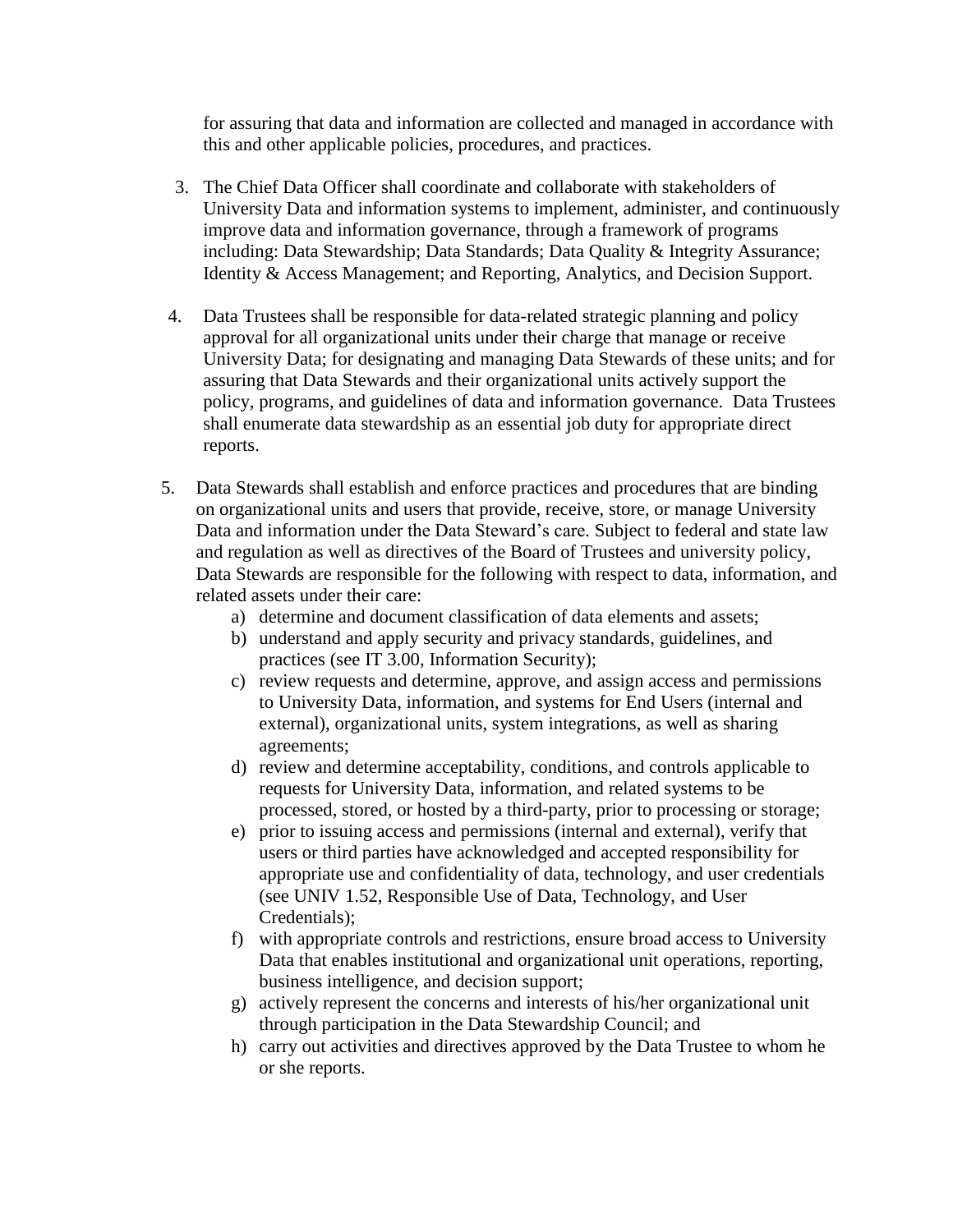for assuring that data and information are collected and managed in accordance with this and other applicable policies, procedures, and practices.

- 3. The Chief Data Officer shall coordinate and collaborate with stakeholders of University Data and information systems to implement, administer, and continuously improve data and information governance, through a framework of programs including: Data Stewardship; Data Standards; Data Quality & Integrity Assurance; Identity & Access Management; and Reporting, Analytics, and Decision Support.
- 4. Data Trustees shall be responsible for data-related strategic planning and policy approval for all organizational units under their charge that manage or receive University Data; for designating and managing Data Stewards of these units; and for assuring that Data Stewards and their organizational units actively support the policy, programs, and guidelines of data and information governance. Data Trustees shall enumerate data stewardship as an essential job duty for appropriate direct reports.
- 5. Data Stewards shall establish and enforce practices and procedures that are binding on organizational units and users that provide, receive, store, or manage University Data and information under the Data Steward's care. Subject to federal and state law and regulation as well as directives of the Board of Trustees and university policy, Data Stewards are responsible for the following with respect to data, information, and related assets under their care:
	- a) determine and document classification of data elements and assets;
	- b) understand and apply security and privacy standards, guidelines, and practices (see IT 3.00, Information Security);
	- c) review requests and determine, approve, and assign access and permissions to University Data, information, and systems for End Users (internal and external), organizational units, system integrations, as well as sharing agreements;
	- d) review and determine acceptability, conditions, and controls applicable to requests for University Data, information, and related systems to be processed, stored, or hosted by a third-party, prior to processing or storage;
	- e) prior to issuing access and permissions (internal and external), verify that users or third parties have acknowledged and accepted responsibility for appropriate use and confidentiality of data, technology, and user credentials (see UNIV 1.52, Responsible Use of Data, Technology, and User Credentials);
	- f) with appropriate controls and restrictions, ensure broad access to University Data that enables institutional and organizational unit operations, reporting, business intelligence, and decision support;
	- g) actively represent the concerns and interests of his/her organizational unit through participation in the Data Stewardship Council; and
	- h) carry out activities and directives approved by the Data Trustee to whom he or she reports.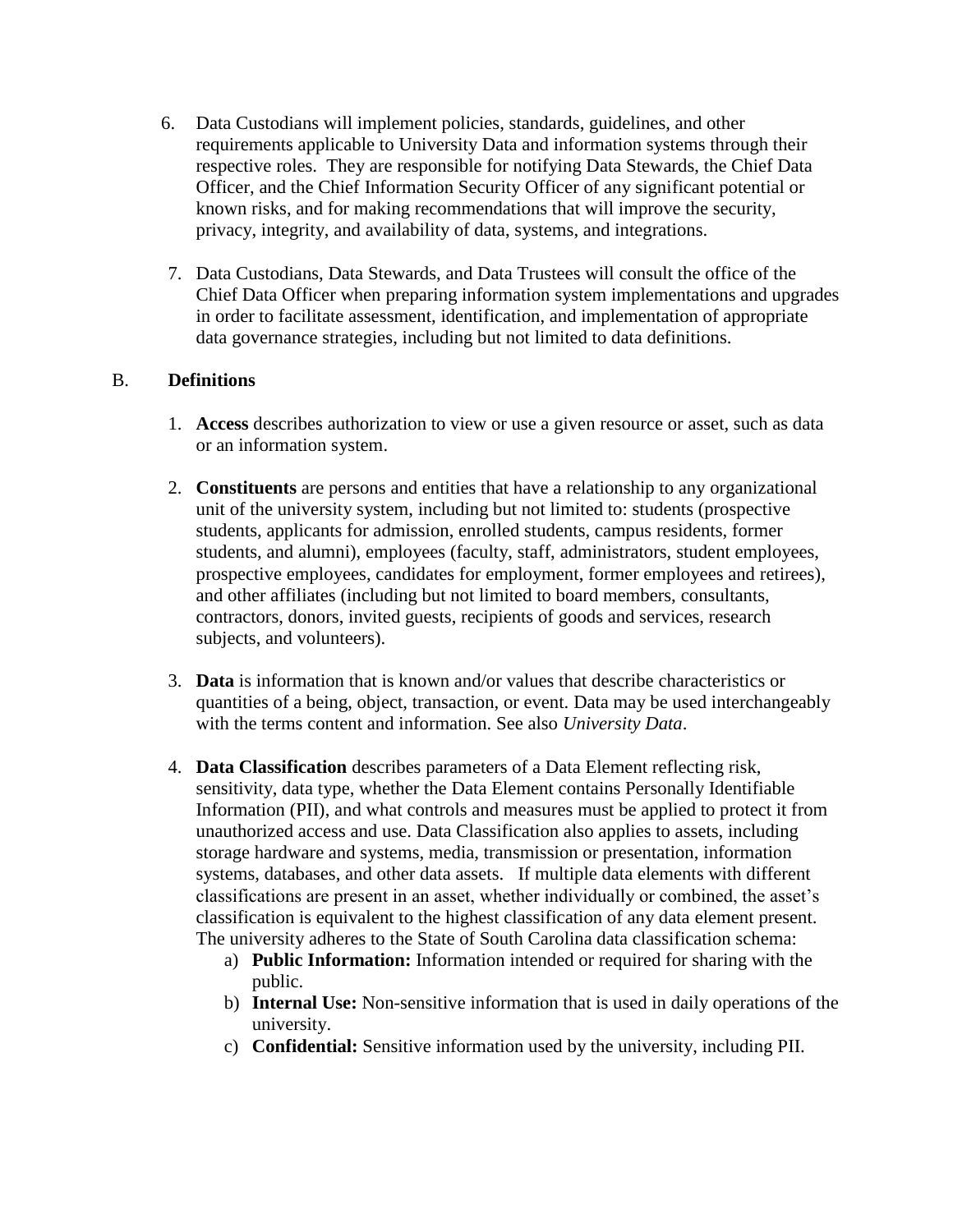- 6. Data Custodians will implement policies, standards, guidelines, and other requirements applicable to University Data and information systems through their respective roles. They are responsible for notifying Data Stewards, the Chief Data Officer, and the Chief Information Security Officer of any significant potential or known risks, and for making recommendations that will improve the security, privacy, integrity, and availability of data, systems, and integrations.
- 7. Data Custodians, Data Stewards, and Data Trustees will consult the office of the Chief Data Officer when preparing information system implementations and upgrades in order to facilitate assessment, identification, and implementation of appropriate data governance strategies, including but not limited to data definitions.

### B. **Definitions**

- 1. **Access** describes authorization to view or use a given resource or asset, such as data or an information system.
- 2. **Constituents** are persons and entities that have a relationship to any organizational unit of the university system, including but not limited to: students (prospective students, applicants for admission, enrolled students, campus residents, former students, and alumni), employees (faculty, staff, administrators, student employees, prospective employees, candidates for employment, former employees and retirees), and other affiliates (including but not limited to board members, consultants, contractors, donors, invited guests, recipients of goods and services, research subjects, and volunteers).
- 3. **Data** is information that is known and/or values that describe characteristics or quantities of a being, object, transaction, or event. Data may be used interchangeably with the terms content and information. See also *University Data*.
- 4. **Data Classification** describes parameters of a Data Element reflecting risk, sensitivity, data type, whether the Data Element contains Personally Identifiable Information (PII), and what controls and measures must be applied to protect it from unauthorized access and use. Data Classification also applies to assets, including storage hardware and systems, media, transmission or presentation, information systems, databases, and other data assets. If multiple data elements with different classifications are present in an asset, whether individually or combined, the asset's classification is equivalent to the highest classification of any data element present. The university adheres to the State of South Carolina data classification schema:
	- a) **Public Information:** Information intended or required for sharing with the public.
	- b) **Internal Use:** Non-sensitive information that is used in daily operations of the university.
	- c) **Confidential:** Sensitive information used by the university, including PII.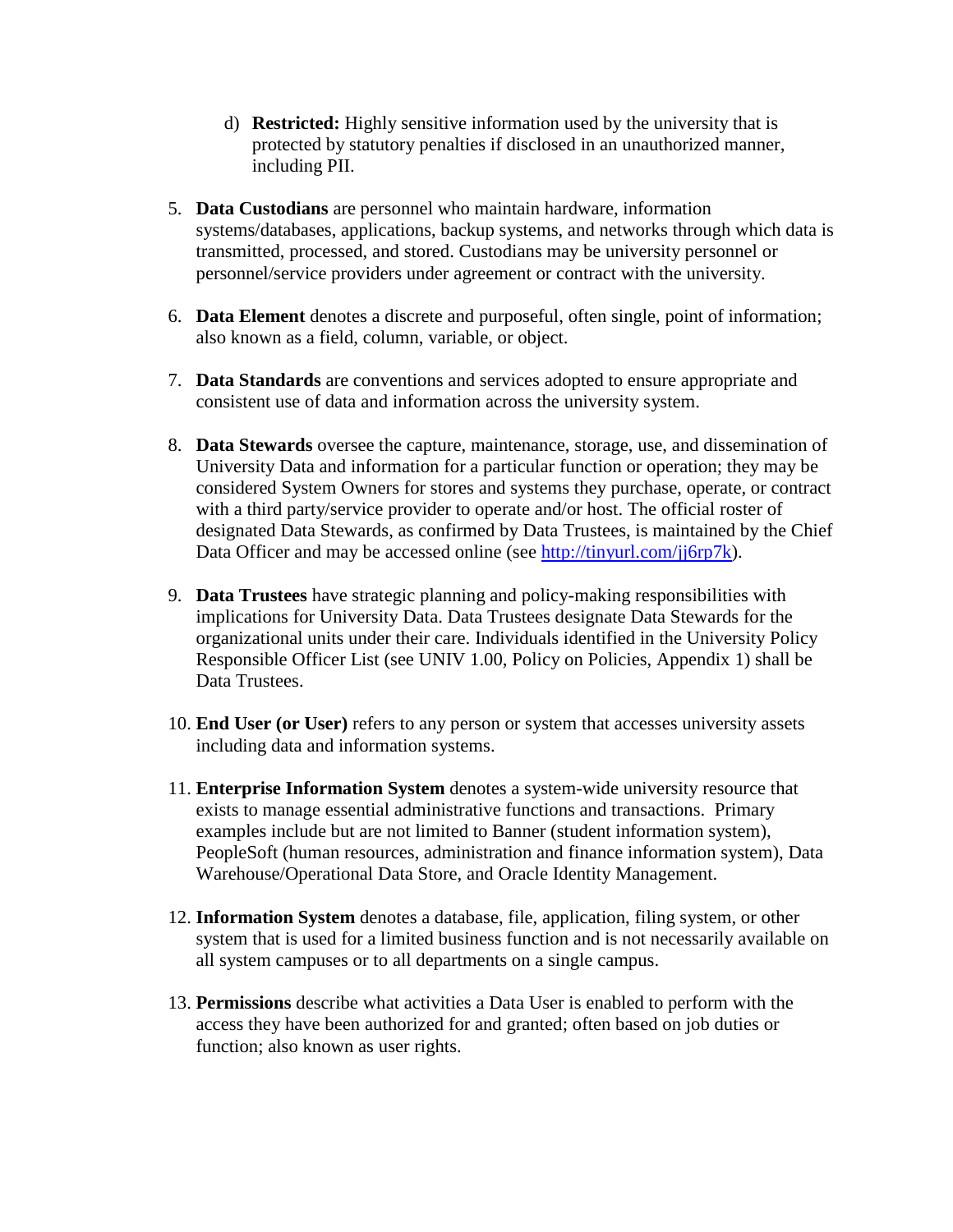- d) **Restricted:** Highly sensitive information used by the university that is protected by statutory penalties if disclosed in an unauthorized manner, including PII.
- 5. **Data Custodians** are personnel who maintain hardware, information systems/databases, applications, backup systems, and networks through which data is transmitted, processed, and stored. Custodians may be university personnel or personnel/service providers under agreement or contract with the university.
- 6. **Data Element** denotes a discrete and purposeful, often single, point of information; also known as a field, column, variable, or object.
- 7. **Data Standards** are conventions and services adopted to ensure appropriate and consistent use of data and information across the university system.
- 8. **Data Stewards** oversee the capture, maintenance, storage, use, and dissemination of University Data and information for a particular function or operation; they may be considered System Owners for stores and systems they purchase, operate, or contract with a third party/service provider to operate and/or host. The official roster of designated Data Stewards, as confirmed by Data Trustees, is maintained by the Chief Data Officer and may be accessed online (see [http://tinyurl.com/jj6rp7k\)](http://tinyurl.com/jj6rp7k).
- 9. **Data Trustees** have strategic planning and policy-making responsibilities with implications for University Data. Data Trustees designate Data Stewards for the organizational units under their care. Individuals identified in the University Policy Responsible Officer List (see UNIV 1.00, Policy on Policies, Appendix 1) shall be Data Trustees.
- 10. **End User (or User)** refers to any person or system that accesses university assets including data and information systems.
- 11. **Enterprise Information System** denotes a system-wide university resource that exists to manage essential administrative functions and transactions. Primary examples include but are not limited to Banner (student information system), PeopleSoft (human resources, administration and finance information system), Data Warehouse/Operational Data Store, and Oracle Identity Management.
- 12. **Information System** denotes a database, file, application, filing system, or other system that is used for a limited business function and is not necessarily available on all system campuses or to all departments on a single campus.
- 13. **Permissions** describe what activities a Data User is enabled to perform with the access they have been authorized for and granted; often based on job duties or function; also known as user rights.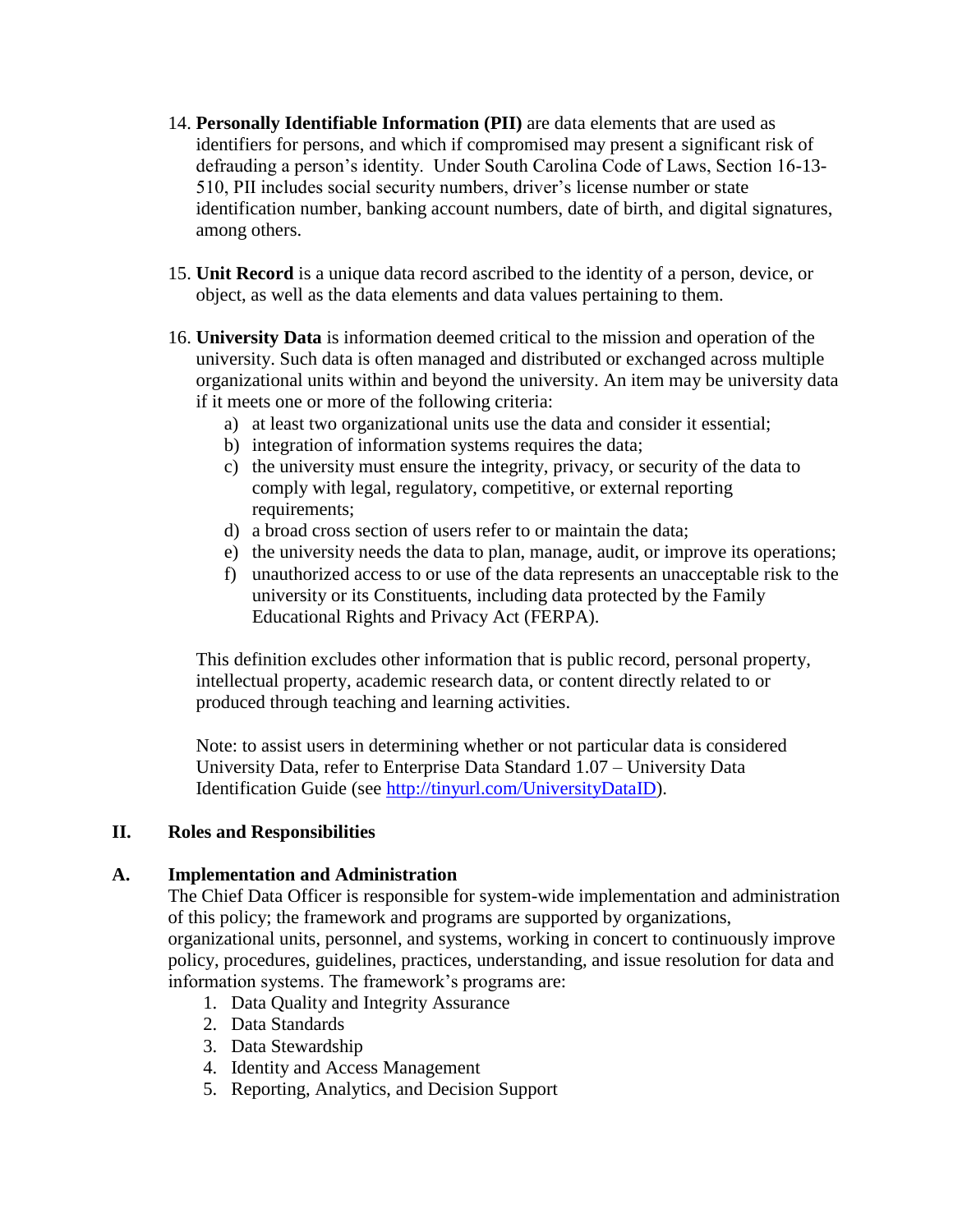- 14. **Personally Identifiable Information (PII)** are data elements that are used as identifiers for persons, and which if compromised may present a significant risk of defrauding a person's identity. Under South Carolina Code of Laws, Section 16-13- 510, PII includes social security numbers, driver's license number or state identification number, banking account numbers, date of birth, and digital signatures, among others.
- 15. **Unit Record** is a unique data record ascribed to the identity of a person, device, or object, as well as the data elements and data values pertaining to them.
- 16. **University Data** is information deemed critical to the mission and operation of the university. Such data is often managed and distributed or exchanged across multiple organizational units within and beyond the university. An item may be university data if it meets one or more of the following criteria:
	- a) at least two organizational units use the data and consider it essential;
	- b) integration of information systems requires the data;
	- c) the university must ensure the integrity, privacy, or security of the data to comply with legal, regulatory, competitive, or external reporting requirements:
	- d) a broad cross section of users refer to or maintain the data;
	- e) the university needs the data to plan, manage, audit, or improve its operations;
	- f) unauthorized access to or use of the data represents an unacceptable risk to the university or its Constituents, including data protected by the Family Educational Rights and Privacy Act (FERPA).

This definition excludes other information that is public record, personal property, intellectual property, academic research data, or content directly related to or produced through teaching and learning activities.

Note: to assist users in determining whether or not particular data is considered University Data, refer to Enterprise Data Standard 1.07 – University Data Identification Guide (see [http://tinyurl.com/UniversityDataID\)](http://tinyurl.com/UniversityDataID).

# **II. Roles and Responsibilities**

### **A. Implementation and Administration**

The Chief Data Officer is responsible for system-wide implementation and administration of this policy; the framework and programs are supported by organizations, organizational units, personnel, and systems, working in concert to continuously improve policy, procedures, guidelines, practices, understanding, and issue resolution for data and information systems. The framework's programs are:

- 1. Data Quality and Integrity Assurance
- 2. Data Standards
- 3. Data Stewardship
- 4. Identity and Access Management
- 5. Reporting, Analytics, and Decision Support